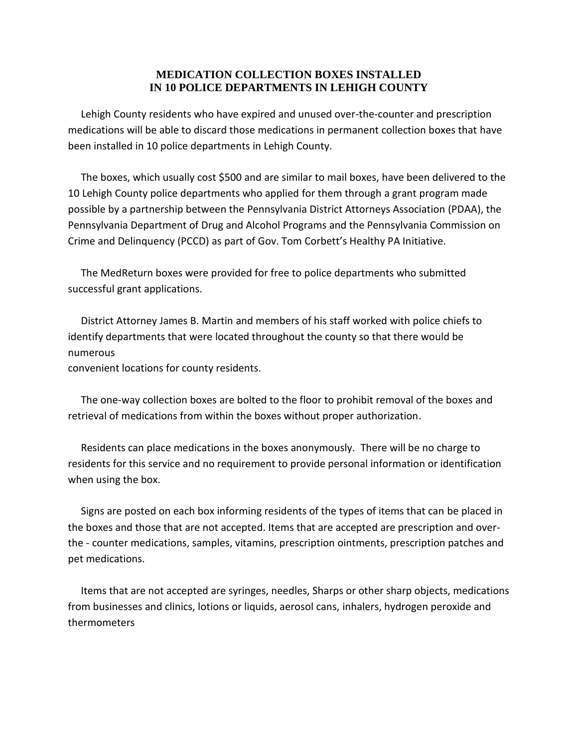## **MEDICATION COLLECTION BOXES INSTALLED IN 10 POLICE DEPARTMENTS IN LEHIGH COUNTY**

 Lehigh County residents who have expired and unused over-the-counter and prescription medications will be able to discard those medications in permanent collection boxes that have been installed in 10 police departments in Lehigh County.

 The boxes, which usually cost \$500 and are similar to mail boxes, have been delivered to the 10 Lehigh County police departments who applied for them through a grant program made possible by a partnership between the Pennsylvania District Attorneys Association (PDAA), the Pennsylvania Department of Drug and Alcohol Programs and the Pennsylvania Commission on Crime and Delinquency (PCCD) as part of Gov. Tom Corbett's Healthy PA Initiative.

 The MedReturn boxes were provided for free to police departments who submitted successful grant applications.

 District Attorney James B. Martin and members of his staff worked with police chiefs to identify departments that were located throughout the county so that there would be numerous

convenient locations for county residents.

 The one-way collection boxes are bolted to the floor to prohibit removal of the boxes and retrieval of medications from within the boxes without proper authorization.

 Residents can place medications in the boxes anonymously. There will be no charge to residents for this service and no requirement to provide personal information or identification when using the box.

 Signs are posted on each box informing residents of the types of items that can be placed in the boxes and those that are not accepted. Items that are accepted are prescription and overthe - counter medications, samples, vitamins, prescription ointments, prescription patches and pet medications.

 Items that are not accepted are syringes, needles, Sharps or other sharp objects, medications from businesses and clinics, lotions or liquids, aerosol cans, inhalers, hydrogen peroxide and thermometers